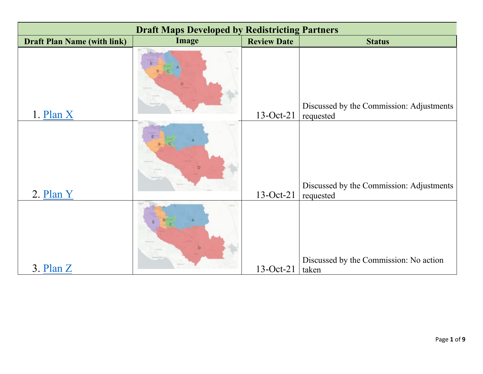| <b>Draft Maps Developed by Redistricting Partners</b> |       |                    |                                                       |  |
|-------------------------------------------------------|-------|--------------------|-------------------------------------------------------|--|
| <b>Draft Plan Name (with link)</b>                    | Image | <b>Review Date</b> | <b>Status</b>                                         |  |
| $1.$ Plan $X$                                         |       | 13-Oct-21          | Discussed by the Commission: Adjustments<br>requested |  |
| 2. Plan Y                                             | D     | $13-Oct-21$        | Discussed by the Commission: Adjustments<br>requested |  |
| $3.$ Plan $Z$                                         |       | $13-Oct-21$        | Discussed by the Commission: No action<br>taken       |  |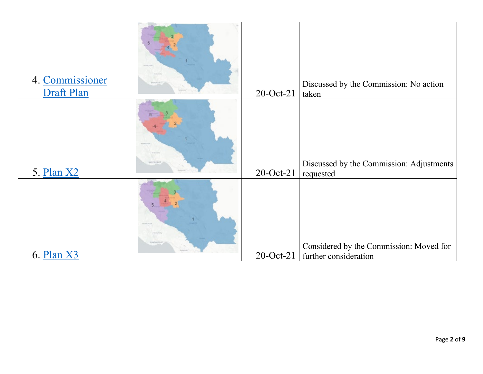| 4. Commissioner<br>Draft Plan | 20-Oct-21    | Discussed by the Commission: No action<br>taken                  |
|-------------------------------|--------------|------------------------------------------------------------------|
| 5. Plan X2                    | 20-Oct-21    | Discussed by the Commission: Adjustments<br>requested            |
| 6. Plan X3                    | $20$ -Oct-21 | Considered by the Commission: Moved for<br>further consideration |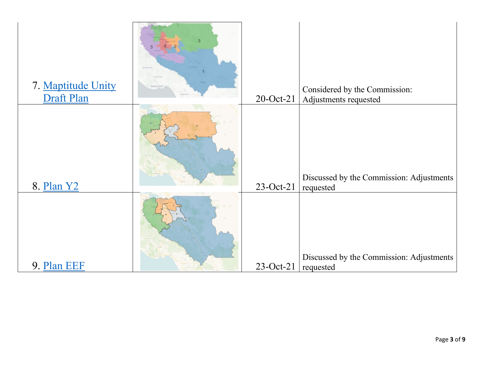| 7. Maptitude Unity<br>Draft Plan | 20-Oct-21   | Considered by the Commission:<br>Adjustments requested |
|----------------------------------|-------------|--------------------------------------------------------|
| 8. Plan Y2                       | 23-Oct-21   | Discussed by the Commission: Adjustments<br>requested  |
| 9. Plan EEF                      | $23-Oct-21$ | Discussed by the Commission: Adjustments<br>requested  |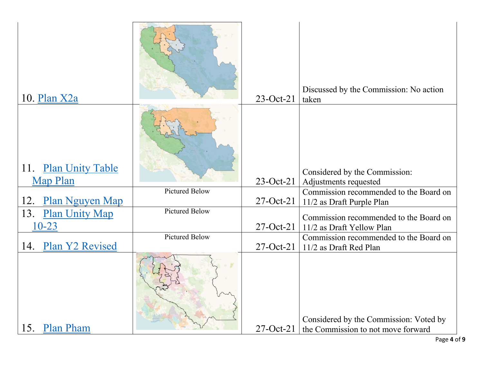| 10. Plan X2a                                      |                       | $23-Oct-21$     | Discussed by the Commission: No action<br>taken                     |
|---------------------------------------------------|-----------------------|-----------------|---------------------------------------------------------------------|
| 11.<br><b>Plan Unity Table</b><br><b>Map Plan</b> |                       | $23-Oct-21$     | Considered by the Commission:<br>Adjustments requested              |
|                                                   | <b>Pictured Below</b> |                 | Commission recommended to the Board on                              |
| 12.<br><b>Plan Nguyen Map</b>                     |                       | $27-Oct-21$     | 11/2 as Draft Purple Plan                                           |
| 13.<br><b>Plan Unity Map</b><br>$10 - 23$         | <b>Pictured Below</b> | $27-Oct-21$     | Commission recommended to the Board on<br>11/2 as Draft Yellow Plan |
|                                                   | <b>Pictured Below</b> |                 | Commission recommended to the Board on                              |
| Plan Y2 Revised<br>14.                            |                       | $27$ -Oct-21    | 11/2 as Draft Red Plan                                              |
|                                                   |                       |                 | Considered by the Commission: Voted by                              |
| 15.<br><b>Plan Pham</b>                           |                       | $27$ -Oct- $21$ | the Commission to not move forward                                  |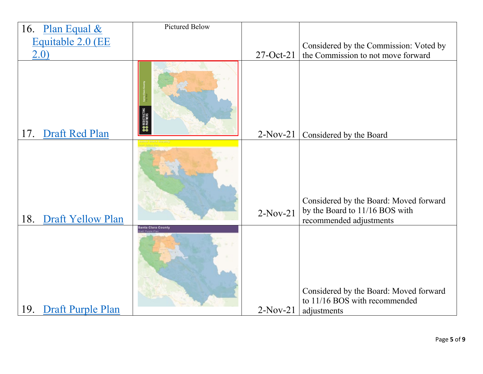|     | 16. Plan Equal $&$       | <b>Pictured Below</b>     |             |                                                                                                     |
|-----|--------------------------|---------------------------|-------------|-----------------------------------------------------------------------------------------------------|
|     | Equitable 2.0 (EE        |                           |             | Considered by the Commission: Voted by                                                              |
|     | 2.0)                     |                           | $27-Oct-21$ | the Commission to not move forward                                                                  |
| 17. | Draft Red Plan           |                           | $2-Nov-21$  | Considered by the Board                                                                             |
|     |                          |                           |             |                                                                                                     |
| 18. | <b>Draft Yellow Plan</b> |                           | $2-Nov-21$  | Considered by the Board: Moved forward<br>by the Board to 11/16 BOS with<br>recommended adjustments |
| 19. | <b>Draft Purple Plan</b> | <b>Santa Clara County</b> | $2-Nov-21$  | Considered by the Board: Moved forward<br>to 11/16 BOS with recommended<br>adjustments              |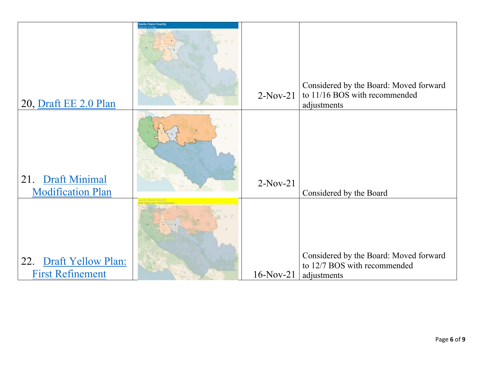| 20, Draft EE 2.0 Plan                             | nta Clara Count | $2-Nov-21$   | Considered by the Board: Moved forward<br>to 11/16 BOS with recommended<br>adjustments |
|---------------------------------------------------|-----------------|--------------|----------------------------------------------------------------------------------------|
| Draft Minimal<br>21.<br><b>Modification Plan</b>  |                 | $2-Nov-21$   | Considered by the Board                                                                |
| 22. Draft Yellow Plan:<br><b>First Refinement</b> |                 | $16$ -Nov-21 | Considered by the Board: Moved forward<br>to 12/7 BOS with recommended<br>adjustments  |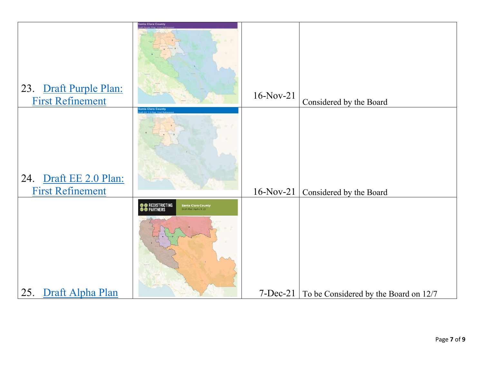|                                                   | <b>Santa Clara County</b>                                                                            |              |                                                    |
|---------------------------------------------------|------------------------------------------------------------------------------------------------------|--------------|----------------------------------------------------|
| 23. Draft Purple Plan:<br><b>First Refinement</b> | <b>Inta Clara County</b>                                                                             | $16-Nov-21$  | Considered by the Board                            |
| 24. Draft EE 2.0 Plan:<br><b>First Refinement</b> |                                                                                                      | $16$ -Nov-21 | Considered by the Board                            |
| 25. Draft Alpha Plan                              | <b>OO</b> REDISTRICTING<br><b>OO</b> PARTNERS<br><b>Santa Clara County</b><br>Draft Plan Alpha 11_23 |              | $7 - Dec-21$ To be Considered by the Board on 12/7 |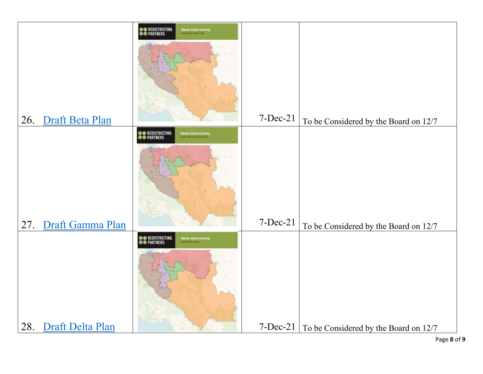